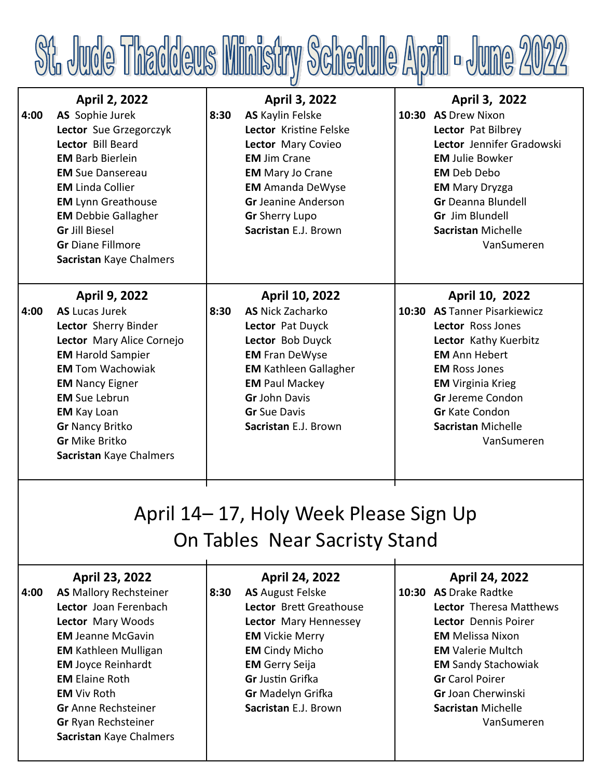

| <b>April 2, 2022</b>       |                        | <b>April 3, 2022</b>         | April 3, 2022                |
|----------------------------|------------------------|------------------------------|------------------------------|
| AS Sophie Jurek            | 8:30                   | <b>AS</b> Kaylin Felske      | 10:30 AS Drew Nixon          |
| Lector Sue Grzegorczyk     |                        | Lector Kristine Felske       | Lector Pat Bilbrey           |
| Lector Bill Beard          |                        | Lector Mary Covieo           | Lector Jennifer Gradowski    |
| <b>EM Barb Bierlein</b>    |                        | <b>EM Jim Crane</b>          | <b>EM Julie Bowker</b>       |
| <b>EM</b> Sue Dansereau    |                        | <b>EM</b> Mary Jo Crane      | <b>EM</b> Deb Debo           |
| <b>EM Linda Collier</b>    |                        | <b>EM</b> Amanda DeWyse      | <b>EM</b> Mary Dryzga        |
| <b>EM</b> Lynn Greathouse  |                        | <b>Gr</b> Jeanine Anderson   | <b>Gr</b> Deanna Blundell    |
| <b>EM</b> Debbie Gallagher |                        | <b>Gr</b> Sherry Lupo        | Gr Jim Blundell              |
| <b>Gr Jill Biesel</b>      |                        | Sacristan E.J. Brown         | <b>Sacristan Michelle</b>    |
| <b>Gr</b> Diane Fillmore   |                        |                              | VanSumeren                   |
| Sacristan Kaye Chalmers    |                        |                              |                              |
|                            |                        |                              |                              |
| <b>April 9, 2022</b>       |                        | April 10, 2022               | April 10, 2022               |
| <b>AS Lucas Jurek</b>      | 8:30                   | <b>AS Nick Zacharko</b>      | 10:30 AS Tanner Pisarkiewicz |
| Lector Sherry Binder       |                        | Lector Pat Duyck             | Lector Ross Jones            |
| Lector Mary Alice Cornejo  |                        | Lector Bob Duyck             | Lector Kathy Kuerbitz        |
| <b>EM</b> Harold Sampier   |                        | <b>EM Fran DeWyse</b>        | <b>EM</b> Ann Hebert         |
| <b>EM Tom Wachowiak</b>    |                        | <b>EM Kathleen Gallagher</b> | <b>EM Ross Jones</b>         |
| <b>EM Nancy Eigner</b>     |                        | <b>EM Paul Mackey</b>        | <b>EM</b> Virginia Krieg     |
| <b>EM</b> Sue Lebrun       |                        | <b>Gr John Davis</b>         | <b>Gr</b> Jereme Condon      |
| <b>EM</b> Kay Loan         |                        | <b>Gr</b> Sue Davis          | <b>Gr</b> Kate Condon        |
|                            |                        | Sacristan E.J. Brown         | <b>Sacristan Michelle</b>    |
| <b>Gr</b> Mike Britko      |                        |                              | VanSumeren                   |
|                            |                        |                              |                              |
|                            | <b>Gr Nancy Britko</b> |                              |                              |

## April 14– 17, Holy Week Please Sign Up On Tables Near Sacristy Stand

**April 24, 2022**

**April 24, 2022**

## **April 23, 2022**

| 4:00 | <b>AS</b> Mallory Rechsteiner | 8:30 | <b>AS</b> August Felske  | 10:30 AS Drake Radtke      |
|------|-------------------------------|------|--------------------------|----------------------------|
|      | Lector Joan Ferenbach         |      | Lector Brett Greathouse  | Lector Theresa Matthews    |
|      | Lector Mary Woods             |      | Lector Mary Hennessey    | Lector Dennis Poirer       |
|      | <b>EM Jeanne McGavin</b>      |      | <b>EM</b> Vickie Merry   | <b>EM</b> Melissa Nixon    |
|      | <b>EM Kathleen Mulligan</b>   |      | <b>EM</b> Cindy Micho    | <b>EM Valerie Multch</b>   |
|      | <b>EM Joyce Reinhardt</b>     |      | <b>EM</b> Gerry Seija    | <b>EM Sandy Stachowiak</b> |
|      | <b>EM Elaine Roth</b>         |      | <b>Gr</b> Justin Grifka  | <b>Gr</b> Carol Poirer     |
|      | <b>EM</b> Viv Roth            |      | <b>Gr</b> Madelyn Grifka | Gr Joan Cherwinski         |
|      | <b>Gr</b> Anne Rechsteiner    |      | Sacristan E.J. Brown     | Sacristan Michelle         |
|      | <b>Gr Ryan Rechsteiner</b>    |      |                          | VanSumeren                 |
|      | Sacristan Kaye Chalmers       |      |                          |                            |
|      |                               |      |                          |                            |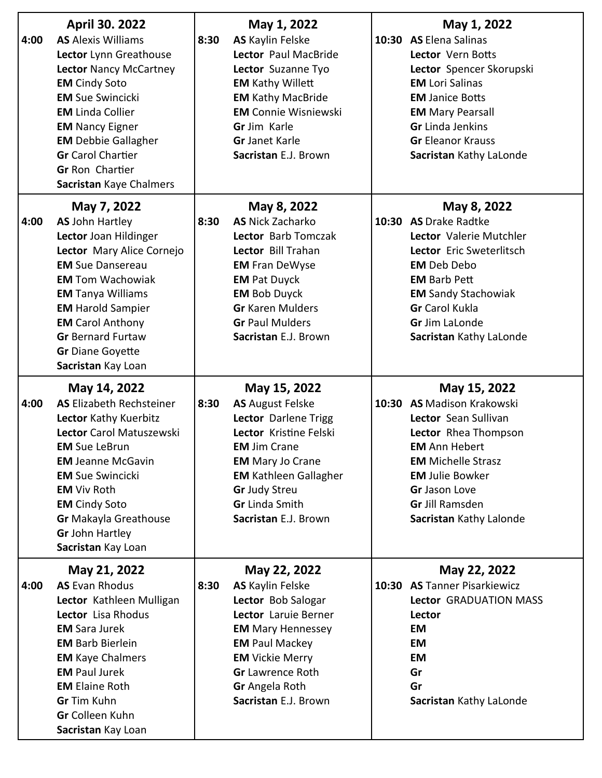| 4:00 | <b>April 30. 2022</b><br><b>AS</b> Alexis Williams<br>Lector Lynn Greathouse<br><b>Lector Nancy McCartney</b><br><b>EM</b> Cindy Soto<br><b>EM</b> Sue Swincicki<br><b>EM</b> Linda Collier<br><b>EM Nancy Eigner</b><br><b>EM</b> Debbie Gallagher<br><b>Gr</b> Carol Chartier<br><b>Gr Ron Chartier</b><br>Sacristan Kaye Chalmers | 8:30 | May 1, 2022<br><b>AS</b> Kaylin Felske<br>Lector Paul MacBride<br>Lector Suzanne Tyo<br><b>EM Kathy Willett</b><br><b>EM Kathy MacBride</b><br><b>EM Connie Wisniewski</b><br>Gr Jim Karle<br><b>Gr</b> Janet Karle<br>Sacristan E.J. Brown          | May 1, 2022<br>10:30 AS Elena Salinas<br>Lector Vern Botts<br>Lector Spencer Skorupski<br><b>EM</b> Lori Salinas<br><b>EM Janice Botts</b><br><b>EM Mary Pearsall</b><br><b>Gr</b> Linda Jenkins<br><b>Gr Eleanor Krauss</b><br>Sacristan Kathy LaLonde |
|------|--------------------------------------------------------------------------------------------------------------------------------------------------------------------------------------------------------------------------------------------------------------------------------------------------------------------------------------|------|------------------------------------------------------------------------------------------------------------------------------------------------------------------------------------------------------------------------------------------------------|---------------------------------------------------------------------------------------------------------------------------------------------------------------------------------------------------------------------------------------------------------|
| 4:00 | May 7, 2022<br><b>AS John Hartley</b><br>Lector Joan Hildinger<br>Lector Mary Alice Cornejo<br><b>EM</b> Sue Dansereau<br><b>EM Tom Wachowiak</b><br><b>EM Tanya Williams</b><br><b>EM</b> Harold Sampier<br><b>EM Carol Anthony</b><br><b>Gr</b> Bernard Furtaw<br><b>Gr</b> Diane Goyette<br>Sacristan Kay Loan                    | 8:30 | May 8, 2022<br><b>AS Nick Zacharko</b><br>Lector Barb Tomczak<br>Lector Bill Trahan<br><b>EM Fran DeWyse</b><br><b>EM Pat Duyck</b><br><b>EM Bob Duyck</b><br><b>Gr</b> Karen Mulders<br><b>Gr Paul Mulders</b><br>Sacristan E.J. Brown              | May 8, 2022<br>10:30 AS Drake Radtke<br>Lector Valerie Mutchler<br>Lector Eric Sweterlitsch<br><b>EM</b> Deb Debo<br><b>EM Barb Pett</b><br><b>EM Sandy Stachowiak</b><br><b>Gr</b> Carol Kukla<br><b>Gr</b> Jim LaLonde<br>Sacristan Kathy LaLonde     |
| 4:00 | May 14, 2022<br><b>AS Elizabeth Rechsteiner</b><br>Lector Kathy Kuerbitz<br>Lector Carol Matuszewski<br><b>EM</b> Sue LeBrun<br><b>EM</b> Jeanne McGavin<br><b>EM</b> Sue Swincicki<br><b>EM</b> Viv Roth<br><b>EM</b> Cindy Soto<br><b>Gr Makayla Greathouse</b><br><b>Gr John Hartley</b><br>Sacristan Kay Loan                    | 8:30 | May 15, 2022<br><b>AS</b> August Felske<br>Lector Darlene Trigg<br>Lector Kristine Felski<br><b>EM Jim Crane</b><br><b>EM Mary Jo Crane</b><br><b>EM Kathleen Gallagher</b><br><b>Gr</b> Judy Streu<br><b>Gr</b> Linda Smith<br>Sacristan E.J. Brown | May 15, 2022<br>10:30 AS Madison Krakowski<br>Lector Sean Sullivan<br>Lector Rhea Thompson<br><b>EM</b> Ann Hebert<br><b>EM Michelle Strasz</b><br><b>EM Julie Bowker</b><br>Gr Jason Love<br><b>Gr Jill Ramsden</b><br>Sacristan Kathy Lalonde         |
| 4:00 | May 21, 2022<br><b>AS Evan Rhodus</b><br>Lector Kathleen Mulligan<br>Lector Lisa Rhodus<br><b>EM</b> Sara Jurek<br><b>EM Barb Bierlein</b><br><b>EM Kaye Chalmers</b><br><b>EM Paul Jurek</b><br><b>EM Elaine Roth</b><br><b>Gr</b> Tim Kuhn<br>Gr Colleen Kuhn<br>Sacristan Kay Loan                                                | 8:30 | May 22, 2022<br><b>AS Kaylin Felske</b><br>Lector Bob Salogar<br>Lector Laruie Berner<br><b>EM Mary Hennessey</b><br><b>EM Paul Mackey</b><br><b>EM</b> Vickie Merry<br><b>Gr</b> Lawrence Roth<br>Gr Angela Roth<br>Sacristan E.J. Brown            | May 22, 2022<br>10:30 AS Tanner Pisarkiewicz<br>Lector GRADUATION MASS<br>Lector<br>EM<br><b>EM</b><br><b>EM</b><br>Gr<br>Gr<br>Sacristan Kathy LaLonde                                                                                                 |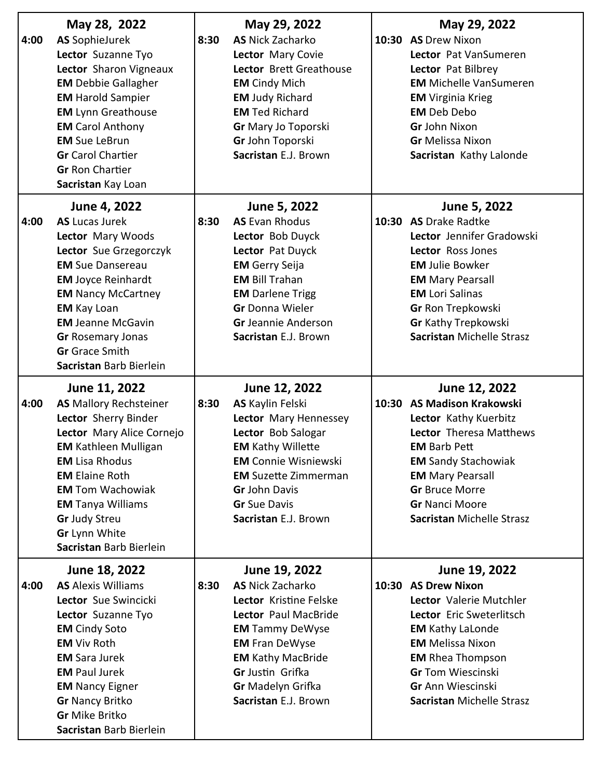| 4:00 | May 28, 2022<br><b>AS SophieJurek</b><br>Lector Suzanne Tyo<br>Lector Sharon Vigneaux<br><b>EM</b> Debbie Gallagher<br><b>EM</b> Harold Sampier<br><b>EM</b> Lynn Greathouse<br><b>EM</b> Carol Anthony<br><b>EM</b> Sue LeBrun<br><b>Gr</b> Carol Chartier<br><b>Gr Ron Chartier</b><br>Sacristan Kay Loan     | 8:30 | May 29, 2022<br><b>AS</b> Nick Zacharko<br>Lector Mary Covie<br>Lector Brett Greathouse<br><b>EM</b> Cindy Mich<br><b>EM Judy Richard</b><br><b>EM</b> Ted Richard<br>Gr Mary Jo Toporski<br>Gr John Toporski<br>Sacristan E.J. Brown                    | May 29, 2022<br>10:30 AS Drew Nixon<br>Lector Pat VanSumeren<br>Lector Pat Bilbrey<br><b>EM Michelle VanSumeren</b><br><b>EM</b> Virginia Krieg<br><b>EM</b> Deb Debo<br>Gr John Nixon<br><b>Gr</b> Melissa Nixon<br>Sacristan Kathy Lalonde                          |
|------|-----------------------------------------------------------------------------------------------------------------------------------------------------------------------------------------------------------------------------------------------------------------------------------------------------------------|------|----------------------------------------------------------------------------------------------------------------------------------------------------------------------------------------------------------------------------------------------------------|-----------------------------------------------------------------------------------------------------------------------------------------------------------------------------------------------------------------------------------------------------------------------|
| 4:00 | June 4, 2022<br><b>AS Lucas Jurek</b><br>Lector Mary Woods<br>Lector Sue Grzegorczyk<br><b>EM</b> Sue Dansereau<br><b>EM Joyce Reinhardt</b><br><b>EM Nancy McCartney</b><br><b>EM</b> Kay Loan<br><b>EM Jeanne McGavin</b><br><b>Gr Rosemary Jonas</b><br><b>Gr</b> Grace Smith<br>Sacristan Barb Bierlein     | 8:30 | June 5, 2022<br><b>AS Evan Rhodus</b><br>Lector Bob Duyck<br>Lector Pat Duyck<br><b>EM</b> Gerry Seija<br><b>EM Bill Trahan</b><br><b>EM</b> Darlene Trigg<br><b>Gr</b> Donna Wieler<br><b>Gr</b> Jeannie Anderson<br>Sacristan E.J. Brown               | June 5, 2022<br>10:30 AS Drake Radtke<br>Lector Jennifer Gradowski<br>Lector Ross Jones<br><b>EM Julie Bowker</b><br><b>EM Mary Pearsall</b><br><b>EM</b> Lori Salinas<br>Gr Ron Trepkowski<br><b>Gr Kathy Trepkowski</b><br><b>Sacristan Michelle Strasz</b>         |
| 4:00 | June 11, 2022<br><b>AS</b> Mallory Rechsteiner<br>Lector Sherry Binder<br>Lector Mary Alice Cornejo<br><b>EM Kathleen Mulligan</b><br><b>EM Lisa Rhodus</b><br><b>EM Elaine Roth</b><br><b>EM Tom Wachowiak</b><br><b>EM Tanya Williams</b><br><b>Gr</b> Judy Streu<br>Gr Lynn White<br>Sacristan Barb Bierlein | 8:30 | June 12, 2022<br><b>AS</b> Kaylin Felski<br>Lector Mary Hennessey<br>Lector Bob Salogar<br><b>EM Kathy Willette</b><br><b>EM</b> Connie Wisniewski<br><b>EM</b> Suzette Zimmerman<br><b>Gr John Davis</b><br><b>Gr</b> Sue Davis<br>Sacristan E.J. Brown | June 12, 2022<br>10:30 AS Madison Krakowski<br>Lector Kathy Kuerbitz<br>Lector Theresa Matthews<br><b>EM Barb Pett</b><br><b>EM Sandy Stachowiak</b><br><b>EM Mary Pearsall</b><br><b>Gr</b> Bruce Morre<br><b>Gr Nanci Moore</b><br><b>Sacristan Michelle Strasz</b> |
| 4:00 | June 18, 2022<br><b>AS</b> Alexis Williams<br>Lector Sue Swincicki<br>Lector Suzanne Tyo<br><b>EM</b> Cindy Soto<br><b>EM</b> Viv Roth<br><b>EM</b> Sara Jurek<br><b>EM Paul Jurek</b><br><b>EM Nancy Eigner</b><br><b>Gr Nancy Britko</b><br><b>Gr Mike Britko</b><br>Sacristan Barb Bierlein                  | 8:30 | June 19, 2022<br><b>AS Nick Zacharko</b><br>Lector Kristine Felske<br>Lector Paul MacBride<br><b>EM</b> Tammy DeWyse<br><b>EM Fran DeWyse</b><br><b>EM Kathy MacBride</b><br>Gr Justin Grifka<br>Gr Madelyn Grifka<br>Sacristan E.J. Brown               | June 19, 2022<br>10:30 AS Drew Nixon<br>Lector Valerie Mutchler<br>Lector Eric Sweterlitsch<br><b>EM Kathy LaLonde</b><br><b>EM</b> Melissa Nixon<br><b>EM</b> Rhea Thompson<br><b>Gr</b> Tom Wiescinski<br><b>Gr Ann Wiescinski</b><br>Sacristan Michelle Strasz     |